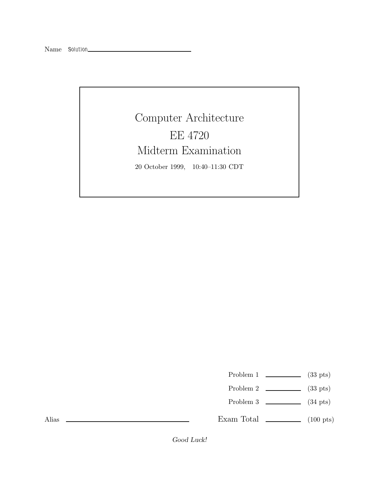## Computer Architecture EE 4720 Midterm Examination 20 October 1999, 10:40–11:30 CDT

- Problem 1  $\qquad \qquad$  (33 pts)
- Problem 2 (33 pts)
- Problem 3 (34 pts)

Exam Total  $\qquad \qquad$  (100 pts)

Alias

*Good Luck!*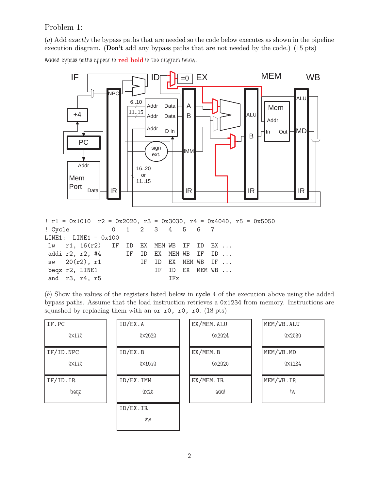## Problem 1:

(a) Add *exactly* the bypass paths that are needed so the code below executes as shown in the pipeline execution diagram. (**Don't** add any bypass paths that are not needed by the code.) (15 pts)

*Added bypass paths appear in* **red bold** *in the diagram below.*



| ! Cycle 0 1 2 3 4 5 6 7<br>$LINE1: LINE1 = 0x100$<br>$1w$ r1, $16(r2)$ IF ID EX MEM WB IF ID EX<br>addi r2, r2, #4       IF ID EX MEM WB IF ID<br>$sw$ 20 $(r2)$ , r1 IF ID EX MEM WB IF<br>begz r2, LINE1<br>IF ID EX MEM WB<br>and r3, r4, r5<br>i de la Terra de la Terra de la Casa de la Casa de la Casa de la Casa de la Casa de la Casa de la C |  |  |  |  |  |  |  | $\text{r1 = } 0x1010$ $\text{r2 = } 0x2020$ , $\text{r3 = } 0x3030$ , $\text{r4 = } 0x4040$ , $\text{r5 = } 0x5050$ |
|--------------------------------------------------------------------------------------------------------------------------------------------------------------------------------------------------------------------------------------------------------------------------------------------------------------------------------------------------------|--|--|--|--|--|--|--|---------------------------------------------------------------------------------------------------------------------|
|                                                                                                                                                                                                                                                                                                                                                        |  |  |  |  |  |  |  |                                                                                                                     |
|                                                                                                                                                                                                                                                                                                                                                        |  |  |  |  |  |  |  |                                                                                                                     |
|                                                                                                                                                                                                                                                                                                                                                        |  |  |  |  |  |  |  |                                                                                                                     |
|                                                                                                                                                                                                                                                                                                                                                        |  |  |  |  |  |  |  |                                                                                                                     |
|                                                                                                                                                                                                                                                                                                                                                        |  |  |  |  |  |  |  |                                                                                                                     |
|                                                                                                                                                                                                                                                                                                                                                        |  |  |  |  |  |  |  |                                                                                                                     |
|                                                                                                                                                                                                                                                                                                                                                        |  |  |  |  |  |  |  |                                                                                                                     |

(b) Show the values of the registers listed below in **cycle 4** of the execution above using the added bypass paths. Assume that the load instruction retrieves a 0x1234 from memory. Instructions are squashed by replacing them with an or r0, r0, r0. (18 pts)

| IF.PC     | ID/EX.A           | EX/MEM.ALU | MEM/WB.ALU |
|-----------|-------------------|------------|------------|
| 0X110     | 0X2020            | 0X2024     | 0X2030     |
| IF/ID.NPC | ID/EX.B           | EX/MEM.B   | MEM/WB.MD  |
| 0X110     | 0X1010            | 0X2020     | 0X1234     |
|           |                   |            |            |
| IF/ID. IR | ID/EX.IMM         | EX/MEM.IR  | MEM/WB.IR  |
| peqz      | 0 <sub>X</sub> 20 | addi       | IW         |
|           | ID/EX.IR          |            |            |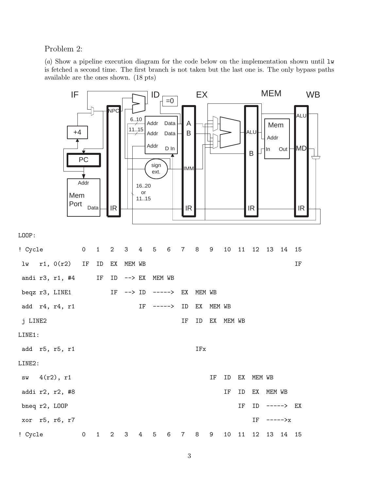Problem 2:

(a) Show a pipeline execution diagram for the code below on the implementation shown until  $\mathbf{1}\mathbf{w}$ is fetched a second time. The first branch is not taken but the last one is. The only bypass paths available are the ones shown. (18 pts)

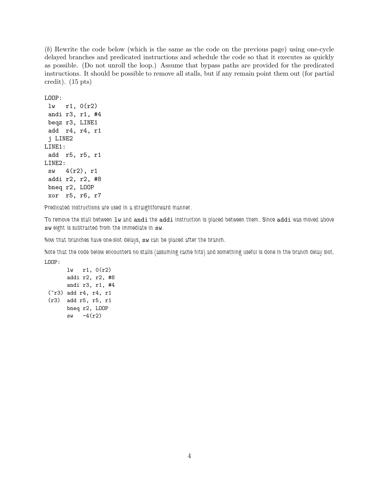(b) Rewrite the code below (which is the same as the code on the previous page) using one-cycle delayed branches and predicated instructions and schedule the code so that it executes as quickly as possible. (Do not unroll the loop.) Assume that bypass paths are provided for the predicated instructions. It should be possible to remove all stalls, but if any remain point them out (for partial credit). (15 pts)

LOOP:

```
lw r1, 0(r2)andi r3, r1, #4
 beqz r3, LINE1
 add r4, r4, r1
 j LINE2
LINE1:
 add r5, r5, r1
LINE2:
 sw 4(r2), r1
 addi r2, r2, #8
 bneq r2, LOOP
 xor r5, r6, r7
```
*Predicated instructions are used in a straightforward manner.*

*To remove the stall between* lw *and* andi *the* addi *instruction is placed between them. Since* addi *was moved above* sw *eight is subtracted from the immediate in* sw*.*

*Now that branches have one-slot delays,* sw *can be placed after the branch.*

*Note that the code below encounters no stalls (assuming cache hits) and something useful is done in the branch delay slot.* LOOP:

lw r1, 0(r2) addi r2, r2, #8 andi r3, r1, #4 (~r3) add r4, r4, r1 (r3) add r5, r5, r1 bneq r2, LOOP  $sw -4(r2)$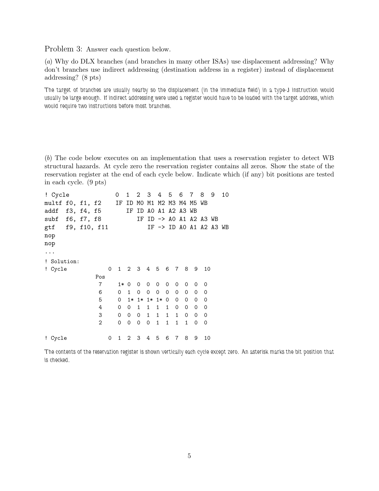Problem 3: Answer each question below.

(a) Why do DLX branches (and branches in many other ISAs) use displacement addressing? Why don't branches use indirect addressing (destination address in a register) instead of displacement addressing? (8 pts)

*The target of branches are usually nearby so the displacement (in the immediate field) in a type-J instruction would usually be large enough. If indirect addressing were used a register would have to be loaded with the target address, which would require two instructions before most branches.*

(b) The code below executes on an implementation that uses a reservation register to detect WB structural hazards. At cycle zero the reservation register contains all zeros. Show the state of the reservation register at the end of each cycle below. Indicate which (if any) bit positions are tested in each cycle. (9 pts)

```
! Cycle 0 1 2 3 4 5 6 7 8 9 10
multf f0, f1, f2 IF ID M0 M1 M2 M3 M4 M5 WB
addf f3, f4, f5 IF ID A0 A1 A2 A3 WB
subf f6, f7, f8 IF ID -> A0 A1 A2 A3 WB
gtf f9, f10, f11 IF -> ID A0 A1 A2 A3 WB
nop
nop
...
! Solution:
! Cycle 0 1 2 3 4 5 6 7 8 9 10
          Pos
          7 1* 0 0 0 0 0 0 0 0 0
          6 0100000000
          5 0 1* 1* 1* 1* 0 0 0 0 0
          4 0011110000
          3 0001111000
          2 0000111100
! Cycle 0 1 2 3 4 5 6 7 8 9 10
```
*The contents of the reservation register is shown vertically each cycle except zero. An asterisk marks the bit position that is checked.*